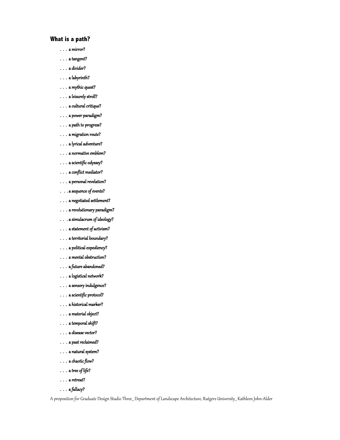# **What is a path?**

- . . . a mirror?
- . . . a tangent?
- . . . a divider?
- . . . a labyrinth?
- . . . a mythic quest?
- . . . a leisurely stroll?
- . . . a cultural critique?
- . . . a power paradigm?
- . . . a path to progress?
- . . . a migration route?
- . . . a lyrical adventure?
- . . . a normative emblem?
- . . . a scientific odyssey?
- . . . a conflict mediator?
- . . . a personal revelation?
- . . . a sequence of events?
- . . . a negotiated settlement?
- . . . a revolutionary paradigm?
- . . . a simulacrum of ideology?
- . . . a statement of activism?
- . . . a territorial boundary?
- . . . a political expediency?
- . . . a mental obstruction?
- . . . a future abandoned?
- . . . a logistical network?
- . . . a sensory indulgence?
- . . . a scientific protocol?
- . . . a historical marker?
- . . . a material object?
- . . . a temporal shift?
- . . . a disease vector?
- . . . a past reclaimed?
- . . . a natural system?
- . . . a chaotic flow?
- . . . a tree of life?
- . . . a retreat?
- . . . a fallacy?

A proposition for Graduate Design Studio Three\_\_ Department of Landscape Architecture, Rutgers University\_\_ Kathleen John-Alder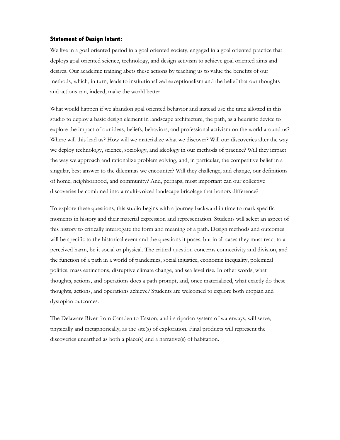#### **Statement of Design Intent:**

We live in a goal oriented period in a goal oriented society, engaged in a goal oriented practice that deploys goal oriented science, technology, and design activism to achieve goal oriented aims and desires. Our academic training abets these actions by teaching us to value the benefits of our methods, which, in turn, leads to institutionalized exceptionalism and the belief that our thoughts and actions can, indeed, make the world better.

What would happen if we abandon goal oriented behavior and instead use the time allotted in this studio to deploy a basic design element in landscape architecture, the path, as a heuristic device to explore the impact of our ideas, beliefs, behaviors, and professional activism on the world around us? Where will this lead us? How will we materialize what we discover? Will our discoveries alter the way we deploy technology, science, sociology, and ideology in our methods of practice? Will they impact the way we approach and rationalize problem solving, and, in particular, the competitive belief in a singular, best answer to the dilemmas we encounter? Will they challenge, and change, our definitions of home, neighborhood, and community? And, perhaps, most important can our collective discoveries be combined into a multi-voiced landscape bricolage that honors difference?

To explore these questions, this studio begins with a journey backward in time to mark specific moments in history and their material expression and representation. Students will select an aspect of this history to critically interrogate the form and meaning of a path. Design methods and outcomes will be specific to the historical event and the questions it poses, but in all cases they must react to a perceived harm, be it social or physical. The critical question concerns connectivity and division, and the function of a path in a world of pandemics, social injustice, economic inequality, polemical politics, mass extinctions, disruptive climate change, and sea level rise. In other words, what thoughts, actions, and operations does a path prompt, and, once materialized, what exactly do these thoughts, actions, and operations achieve? Students are welcomed to explore both utopian and dystopian outcomes.

The Delaware River from Camden to Easton, and its riparian system of waterways, will serve, physically and metaphorically, as the site(s) of exploration. Final products will represent the discoveries unearthed as both a place(s) and a narrative(s) of habitation.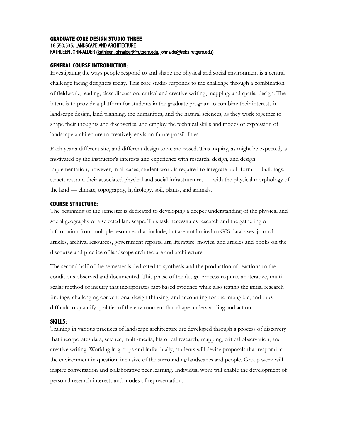### **GRADUATE CORE DESIGN STUDIO THREE** 16:550:535: LANDSCAPE AND ARCHITECTURE KATHLEEN JOHN-ALDER (kathleen.johnalder@rutgers.edu, johnalde@sebs.rutgers.edu)

### **GENERAL COURSE INTRODUCTION:**

Investigating the ways people respond to and shape the physical and social environment is a central challenge facing designers today. This core studio responds to the challenge through a combination of fieldwork, reading, class discussion, critical and creative writing, mapping, and spatial design. The intent is to provide a platform for students in the graduate program to combine their interests in landscape design, land planning, the humanities, and the natural sciences, as they work together to shape their thoughts and discoveries, and employ the technical skills and modes of expression of landscape architecture to creatively envision future possibilities.

Each year a different site, and different design topic are posed. This inquiry, as might be expected, is motivated by the instructor's interests and experience with research, design, and design implementation; however, in all cases, student work is required to integrate built form — buildings, structures, and their associated physical and social infrastructures — with the physical morphology of the land — climate, topography, hydrology, soil, plants, and animals.

#### **COURSE STRUCTURE:**

The beginning of the semester is dedicated to developing a deeper understanding of the physical and social geography of a selected landscape. This task necessitates research and the gathering of information from multiple resources that include, but are not limited to GIS databases, journal articles, archival resources, government reports, art, literature, movies, and articles and books on the discourse and practice of landscape architecture and architecture.

The second half of the semester is dedicated to synthesis and the production of reactions to the conditions observed and documented. This phase of the design process requires an iterative, multiscalar method of inquiry that incorporates fact-based evidence while also testing the initial research findings, challenging conventional design thinking, and accounting for the intangible, and thus difficult to quantify qualities of the environment that shape understanding and action.

## **SKILLS:**

Training in various practices of landscape architecture are developed through a process of discovery that incorporates data, science, multi-media, historical research, mapping, critical observation, and creative writing. Working in groups and individually, students will devise proposals that respond to the environment in question, inclusive of the surrounding landscapes and people. Group work will inspire conversation and collaborative peer learning. Individual work will enable the development of personal research interests and modes of representation.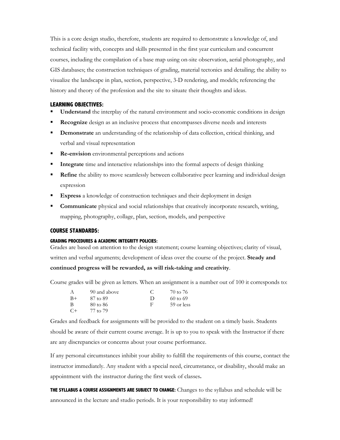This is a core design studio, therefore, students are required to demonstrate a knowledge of, and technical facility with, concepts and skills presented in the first year curriculum and concurrent courses, including the compilation of a base map using on-site observation, aerial photography, and GIS databases; the construction techniques of grading, material tectonics and detailing; the ability to visualize the landscape in plan, section, perspective, 3-D rendering, and models; referencing the history and theory of the profession and the site to situate their thoughts and ideas.

### **LEARNING OBJECTIVES:**

- **Understand** the interplay of the natural environment and socio-economic conditions in design
- § **Recognize** design as an inclusive process that encompasses diverse needs and interests
- **Demonstrate** an understanding of the relationship of data collection, critical thinking, and verbal and visual representation
- **Re-envision** environmental perceptions and actions
- **Integrate** time and interactive relationships into the formal aspects of design thinking
- **Refine** the ability to move seamlessly between collaborative peer learning and individual design expression
- **Express** a knowledge of construction techniques and their deployment in design
- § **Communicate** physical and social relationships that creatively incorporate research, writing, mapping, photography, collage, plan, section, models, and perspective

#### **COURSE STANDARDS:**

#### **GRADING PROCEDURES & ACADEMIC INTEGRITY POLICIES:**

Grades are based on attention to the design statement; course learning objectives; clarity of visual, written and verbal arguments; development of ideas over the course of the project. **Steady and continued progress will be rewarded, as will risk-taking and creativity**.

Course grades will be given as letters. When an assignment is a number out of 100 it corresponds to:

| A    | 90 and above | $\sqrt{2}$ | 70 to 76            |
|------|--------------|------------|---------------------|
| $B+$ | 87 to 89     | $\Box$     | $60 \text{ to } 69$ |
| -B   | 80 to 86     | Ħ          | 59 or less          |
| $C+$ | 77 to 79     |            |                     |

Grades and feedback for assignments will be provided to the student on a timely basis. Students should be aware of their current course average. It is up to you to speak with the Instructor if there are any discrepancies or concerns about your course performance.

If any personal circumstances inhibit your ability to fulfill the requirements of this course, contact the instructor immediately. Any student with a special need, circumstance, or disability, should make an appointment with the instructor during the first week of classes**.** 

**THE SYLLABUS & COURSE ASSIGNMENTS ARE SUBJECT TO CHANGE:** Changes to the syllabus and schedule will be announced in the lecture and studio periods. It is your responsibility to stay informed!